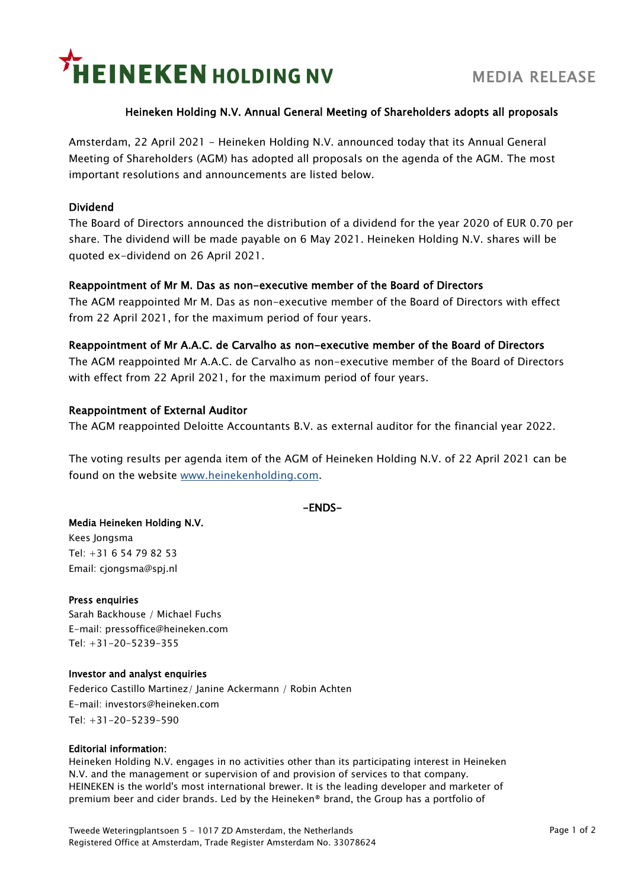# **HEINEKEN HOLDING NV**

# Heineken Holding N.V. Annual General Meeting of Shareholders adopts all proposals

Amsterdam, 22 April 2021 - Heineken Holding N.V. announced today that its Annual General Meeting of Shareholders (AGM) has adopted all proposals on the agenda of the AGM. The most important resolutions and announcements are listed below.

## Dividend

The Board of Directors announced the distribution of a dividend for the year 2020 of EUR 0.70 per share. The dividend will be made payable on 6 May 2021. Heineken Holding N.V. shares will be quoted ex-dividend on 26 April 2021.

## Reappointment of Mr M. Das as non-executive member of the Board of Directors

The AGM reappointed Mr M. Das as non-executive member of the Board of Directors with effect from 22 April 2021, for the maximum period of four years.

#### Reappointment of Mr A.A.C. de Carvalho as non-executive member of the Board of Directors

The AGM reappointed Mr A.A.C. de Carvalho as non-executive member of the Board of Directors with effect from 22 April 2021, for the maximum period of four years.

#### Reappointment of External Auditor

The AGM reappointed Deloitte Accountants B.V. as external auditor for the financial year 2022.

The voting results per agenda item of the AGM of Heineken Holding N.V. of 22 April 2021 can be found on the website [www.heinekenholding.com.](http://www.heinekenholding.com/)

-ENDS-

#### Media Heineken Holding N.V.

Kees Jongsma Tel: +31 6 54 79 82 53 Email: cjongsma@spj.nl

#### Press enquiries

Sarah Backhouse / Michael Fuchs E-mail: pressoffice@heineken.com Tel: +31-20-5239-355

#### Investor and analyst enquiries

Federico Castillo Martinez/ Janine Ackermann / Robin Achten E-mail: investors@heineken.com Tel: +31-20-5239-590

#### Editorial information:

Heineken Holding N.V. engages in no activities other than its participating interest in Heineken N.V. and the management or supervision of and provision of services to that company. HEINEKEN is the world's most international brewer. It is the leading developer and marketer of premium beer and cider brands. Led by the Heineken® brand, the Group has a portfolio of